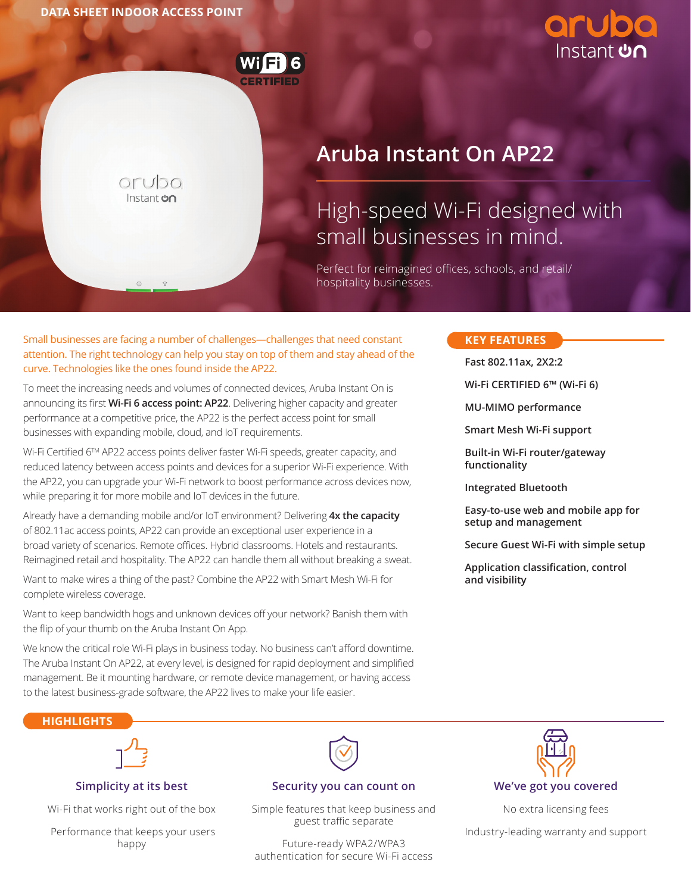

 $OTUDO$ Instant **con** 

# **Aruba Instant On AP22**

# High-speed Wi-Fi designed with small businesses in mind.

Perfect for reimagined offices, schools, and retail/ hospitality businesses.

#### Small businesses are facing a number of challenges—challenges that need constant **KEY FEATURES** attention. The right technology can help you stay on top of them and stay ahead of the curve. Technologies like the ones found inside the AP22.

To meet the increasing needs and volumes of connected devices, Aruba Instant On is announcing its first **Wi-Fi 6 access point: AP22**. Delivering higher capacity and greater performance at a competitive price, the AP22 is the perfect access point for small businesses with expanding mobile, cloud, and IoT requirements.

Wi-Fi Certified 6TM AP22 access points deliver faster Wi-Fi speeds, greater capacity, and reduced latency between access points and devices for a superior Wi-Fi experience. With the AP22, you can upgrade your Wi-Fi network to boost performance across devices now, while preparing it for more mobile and IoT devices in the future.

Already have a demanding mobile and/or IoT environment? Delivering **4x the capacity** of 802.11ac access points, AP22 can provide an exceptional user experience in a broad variety of scenarios. Remote offices. Hybrid classrooms. Hotels and restaurants. Reimagined retail and hospitality. The AP22 can handle them all without breaking a sweat.

Want to make wires a thing of the past? Combine the AP22 with Smart Mesh Wi-Fi for complete wireless coverage.

Want to keep bandwidth hogs and unknown devices off your network? Banish them with the flip of your thumb on the Aruba Instant On App.

We know the critical role Wi-Fi plays in business today. No business can't afford downtime. The Aruba Instant On AP22, at every level, is designed for rapid deployment and simplified management. Be it mounting hardware, or remote device management, or having access to the latest business-grade software, the AP22 lives to make your life easier.

**Fast 802.11ax, 2X2:2** 

**Wi-Fi CERTIFIED 6™ (Wi-Fi 6)**

**MU-MIMO performance**

**Smart Mesh Wi-Fi support**

**Built-in Wi-Fi router/gateway functionality**

**Integrated Bluetooth**

**Easy-to-use web and mobile app for setup and management**

**Secure Guest Wi-Fi with simple setup**

**Application classification, control and visibility**

#### **HIGHLIGHTS**



#### **Simplicity at its best**

Wi-Fi that works right out of the box

 Performance that keeps your users happy



#### **Security you can count on**

Simple features that keep business and guest traffic separate

Future-ready WPA2/WPA3 authentication for secure Wi-Fi access



No extra licensing fees

Industry-leading warranty and support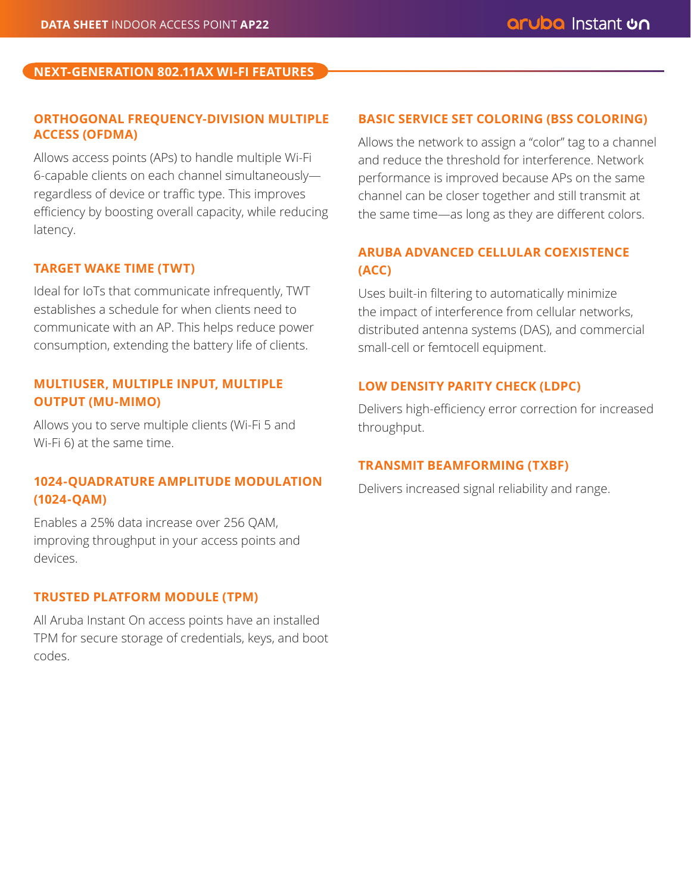# **NEXT-GENERATION 802.11AX WI-FI FEATURES**

# **ORTHOGONAL FREQUENCY-DIVISION MULTIPLE ACCESS (OFDMA)**

Allows access points (APs) to handle multiple Wi-Fi 6-capable clients on each channel simultaneously regardless of device or traffic type. This improves efficiency by boosting overall capacity, while reducing latency.

# **TARGET WAKE TIME (TWT)**

Ideal for IoTs that communicate infrequently, TWT establishes a schedule for when clients need to communicate with an AP. This helps reduce power consumption, extending the battery life of clients.

# **MULTIUSER, MULTIPLE INPUT, MULTIPLE OUTPUT (MU-MIMO)**

Allows you to serve multiple clients (Wi-Fi 5 and Wi-Fi 6) at the same time.

# **1024-QUADRATURE AMPLITUDE MODULATION (1024-QAM)**

Enables a 25% data increase over 256 QAM, improving throughput in your access points and devices.

### **TRUSTED PLATFORM MODULE (TPM)**

All Aruba Instant On access points have an installed TPM for secure storage of credentials, keys, and boot codes.

# **BASIC SERVICE SET COLORING (BSS COLORING)**

Allows the network to assign a "color" tag to a channel and reduce the threshold for interference. Network performance is improved because APs on the same channel can be closer together and still transmit at the same time—as long as they are different colors.

# **ARUBA ADVANCED CELLULAR COEXISTENCE (ACC)**

Uses built-in filtering to automatically minimize the impact of interference from cellular networks, distributed antenna systems (DAS), and commercial small-cell or femtocell equipment.

# **LOW DENSITY PARITY CHECK (LDPC)**

Delivers high-efficiency error correction for increased throughput.

#### **TRANSMIT BEAMFORMING (TXBF)**

Delivers increased signal reliability and range.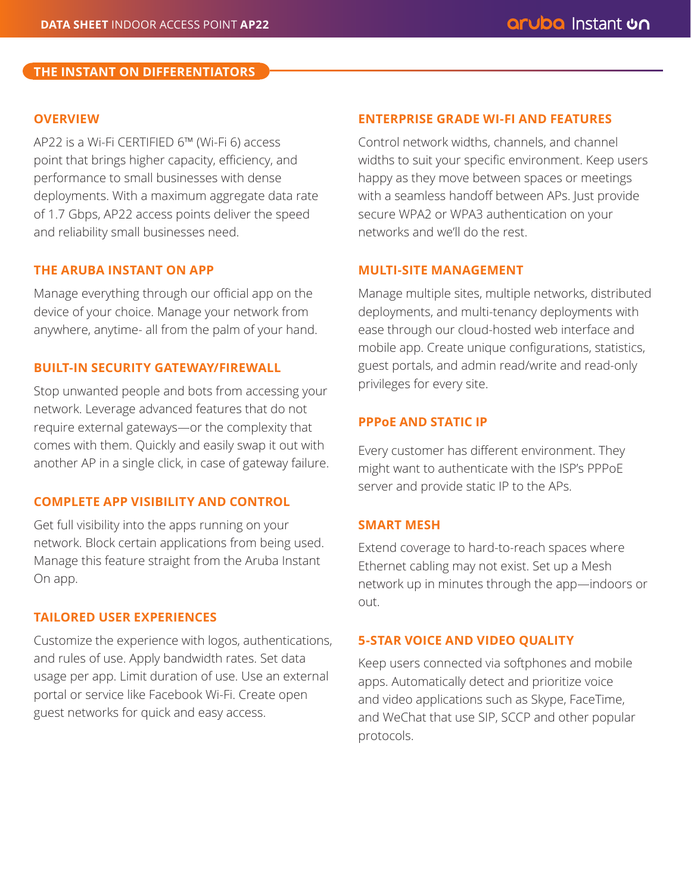# **THE INSTANT ON DIFFERENTIATORS**

# **OVERVIEW**

AP22 is a Wi-Fi CERTIFIED 6™ (Wi-Fi 6) access point that brings higher capacity, efficiency, and performance to small businesses with dense deployments. With a maximum aggregate data rate of 1.7 Gbps, AP22 access points deliver the speed and reliability small businesses need.

# **THE ARUBA INSTANT ON APP**

Manage everything through our official app on the device of your choice. Manage your network from anywhere, anytime- all from the palm of your hand.

# **BUILT-IN SECURITY GATEWAY/FIREWALL**

Stop unwanted people and bots from accessing your network. Leverage advanced features that do not require external gateways—or the complexity that comes with them. Quickly and easily swap it out with another AP in a single click, in case of gateway failure.

# **COMPLETE APP VISIBILITY AND CONTROL**

Get full visibility into the apps running on your network. Block certain applications from being used. Manage this feature straight from the Aruba Instant On app.

# **TAILORED USER EXPERIENCES**

Customize the experience with logos, authentications, and rules of use. Apply bandwidth rates. Set data usage per app. Limit duration of use. Use an external portal or service like Facebook Wi-Fi. Create open guest networks for quick and easy access.

# **ENTERPRISE GRADE WI-FI AND FEATURES**

Control network widths, channels, and channel widths to suit your specific environment. Keep users happy as they move between spaces or meetings with a seamless handoff between APs. Just provide secure WPA2 or WPA3 authentication on your networks and we'll do the rest.

# **MULTI-SITE MANAGEMENT**

Manage multiple sites, multiple networks, distributed deployments, and multi-tenancy deployments with ease through our cloud-hosted web interface and mobile app. Create unique configurations, statistics, guest portals, and admin read/write and read-only privileges for every site.

#### **PPPoE AND STATIC IP**

Every customer has different environment. They might want to authenticate with the ISP's PPPoE server and provide static IP to the APs.

#### **SMART MESH**

Extend coverage to hard-to-reach spaces where Ethernet cabling may not exist. Set up a Mesh network up in minutes through the app—indoors or out.

#### **5-STAR VOICE AND VIDEO QUALITY**

Keep users connected via softphones and mobile apps. Automatically detect and prioritize voice and video applications such as Skype, FaceTime, and WeChat that use SIP, SCCP and other popular protocols.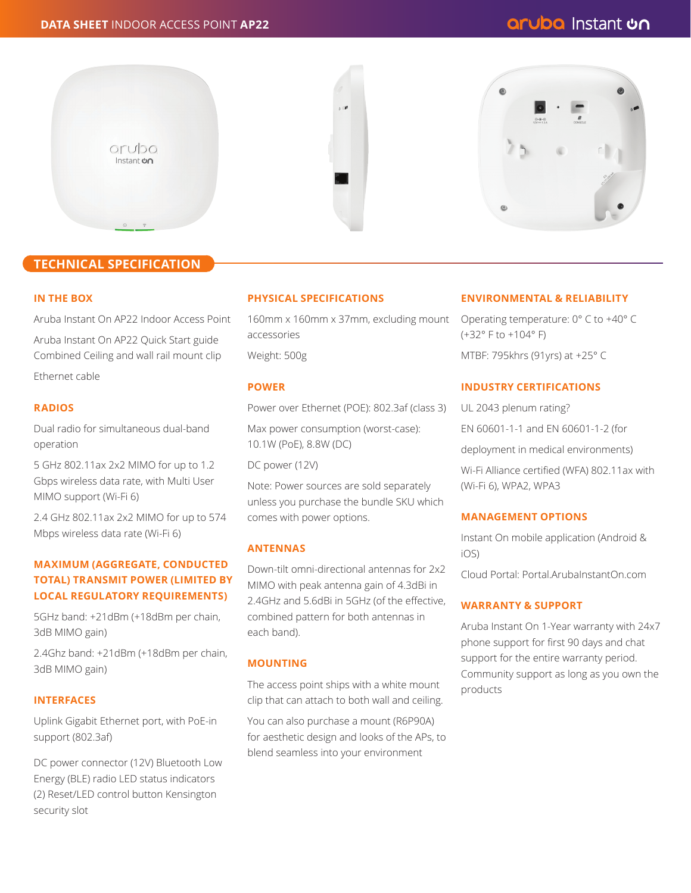

#### **TECHNICAL SPECIFICATION**

#### **IN THE BOX**

Aruba Instant On AP22 Indoor Access Point

Aruba Instant On AP22 Quick Start guide Combined Ceiling and wall rail mount clip Ethernet cable

#### **RADIOS**

Dual radio for simultaneous dual-band operation

5 GHz 802.11ax 2x2 MIMO for up to 1.2 Gbps wireless data rate, with Multi User MIMO support (Wi-Fi 6)

2.4 GHz 802.11ax 2x2 MIMO for up to 574 Mbps wireless data rate (Wi-Fi 6)

#### **MAXIMUM (AGGREGATE, CONDUCTED TOTAL) TRANSMIT POWER (LIMITED BY LOCAL REGULATORY REQUIREMENTS)**

5GHz band: +21dBm (+18dBm per chain, 3dB MIMO gain)

2.4Ghz band: +21dBm (+18dBm per chain, 3dB MIMO gain)

#### **INTERFACES**

Uplink Gigabit Ethernet port, with PoE-in support (802.3af)

DC power connector (12V) Bluetooth Low Energy (BLE) radio LED status indicators (2) Reset/LED control button Kensington security slot

#### **PHYSICAL SPECIFICATIONS**

160mm x 160mm x 37mm, excluding mount accessories Weight: 500g

#### **POWER**

Power over Ethernet (POE): 802.3af (class 3)

Max power consumption (worst-case): 10.1W (PoE), 8.8W (DC)

DC power (12V)

Note: Power sources are sold separately unless you purchase the bundle SKU which comes with power options.

#### **ANTENNAS**

Down-tilt omni-directional antennas for 2x2 MIMO with peak antenna gain of 4.3dBi in 2.4GHz and 5.6dBi in 5GHz (of the effective, combined pattern for both antennas in each band).

#### **MOUNTING**

The access point ships with a white mount clip that can attach to both wall and ceiling.

You can also purchase a mount (R6P90A) for aesthetic design and looks of the APs, to blend seamless into your environment

#### **ENVIRONMENTAL & RELIABILITY**

Operating temperature: 0° C to +40° C (+32° F to +104° F) MTBF: 795khrs (91yrs) at +25° C

#### **INDUSTRY CERTIFICATIONS**

UL 2043 plenum rating? EN 60601-1-1 and EN 60601-1-2 (for deployment in medical environments) Wi-Fi Alliance certified (WFA) 802.11ax with

# **MANAGEMENT OPTIONS**

(Wi-Fi 6), WPA2, WPA3

Instant On mobile application (Android & iOS)

Cloud Portal: Portal.ArubaInstantOn.com

#### **WARRANTY & SUPPORT**

Aruba Instant On 1-Year warranty with 24x7 phone support for first 90 days and chat support for the entire warranty period. Community support as long as you own the products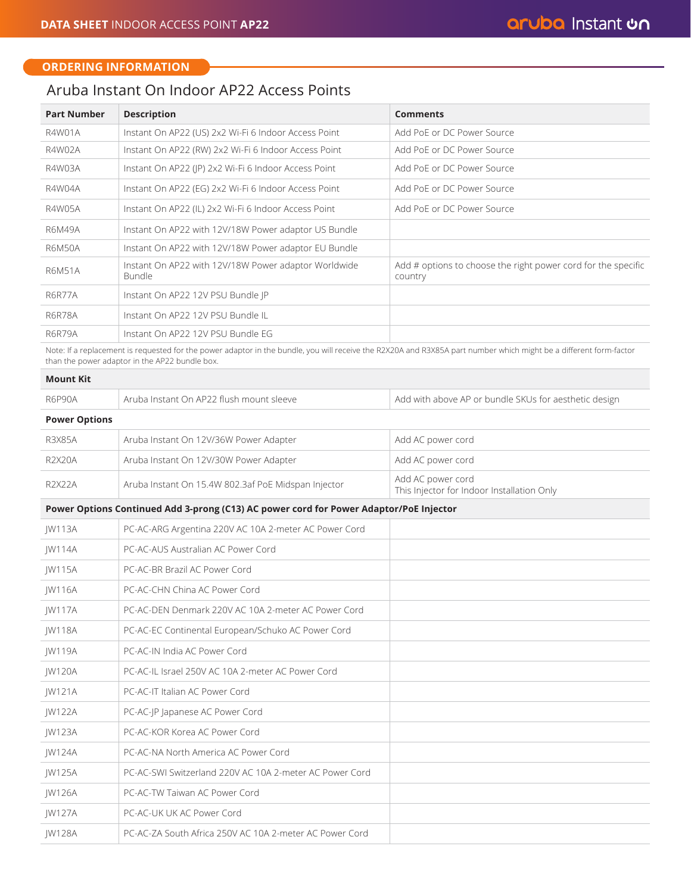JW124A PC-AC-NA North America AC Power Cord

JW126A PC-AC-TW Taiwan AC Power Cord JW127A PC-AC-UK UK AC Power Cord

JW125A PC-AC-SWI Switzerland 220V AC 10A 2-meter AC Power Cord

JW128A PC-AC-ZA South Africa 250V AC 10A 2-meter AC Power Cord

#### **ORDERING INFORMATION**

# Aruba Instant On Indoor AP22 Access Points

| <b>Part Number</b>   | <b>Description</b>                                                                                                                                                                                                   | <b>Comments</b>                                                          |
|----------------------|----------------------------------------------------------------------------------------------------------------------------------------------------------------------------------------------------------------------|--------------------------------------------------------------------------|
| R4W01A               | Instant On AP22 (US) 2x2 Wi-Fi 6 Indoor Access Point                                                                                                                                                                 | Add PoF or DC Power Source                                               |
| R4W02A               | Instant On AP22 (RW) 2x2 Wi-Fi 6 Indoor Access Point                                                                                                                                                                 | Add PoE or DC Power Source                                               |
| R4W03A               | Instant On AP22 (JP) 2x2 Wi-Fi 6 Indoor Access Point                                                                                                                                                                 | Add PoE or DC Power Source                                               |
| R4W04A               | Instant On AP22 (EG) 2x2 Wi-Fi 6 Indoor Access Point                                                                                                                                                                 | Add PoE or DC Power Source                                               |
| <b>R4W05A</b>        | Instant On AP22 (IL) 2x2 Wi-Fi 6 Indoor Access Point                                                                                                                                                                 | Add PoE or DC Power Source                                               |
| <b>R6M49A</b>        | Instant On AP22 with 12V/18W Power adaptor US Bundle                                                                                                                                                                 |                                                                          |
| <b>R6M50A</b>        | Instant On AP22 with 12V/18W Power adaptor EU Bundle                                                                                                                                                                 |                                                                          |
| <b>R6M51A</b>        | Instant On AP22 with 12V/18W Power adaptor Worldwide<br><b>Bundle</b>                                                                                                                                                | Add # options to choose the right power cord for the specific<br>country |
| <b>R6R77A</b>        | Instant On AP22 12V PSU Bundle JP                                                                                                                                                                                    |                                                                          |
| <b>R6R78A</b>        | Instant On AP22 12V PSU Bundle IL                                                                                                                                                                                    |                                                                          |
| <b>R6R79A</b>        | Instant On AP22 12V PSU Bundle EG                                                                                                                                                                                    |                                                                          |
|                      | Note: If a replacement is requested for the power adaptor in the bundle, you will receive the R2X20A and R3X85A part number which might be a different form-factor<br>than the power adaptor in the AP22 bundle box. |                                                                          |
| <b>Mount Kit</b>     |                                                                                                                                                                                                                      |                                                                          |
| <b>R6P90A</b>        | Aruba Instant On AP22 flush mount sleeve                                                                                                                                                                             | Add with above AP or bundle SKUs for aesthetic design                    |
| <b>Power Options</b> |                                                                                                                                                                                                                      |                                                                          |
| <b>R3X85A</b>        | Aruba Instant On 12V/36W Power Adapter                                                                                                                                                                               | Add AC power cord                                                        |
| <b>R2X20A</b>        | Aruba Instant On 12V/30W Power Adapter                                                                                                                                                                               | Add AC power cord                                                        |
| <b>R2X22A</b>        | Aruba Instant On 15.4W 802.3af PoE Midspan Injector                                                                                                                                                                  | Add AC power cord<br>This Injector for Indoor Installation Only          |
|                      | Power Options Continued Add 3-prong (C13) AC power cord for Power Adaptor/PoE Injector                                                                                                                               |                                                                          |
| <b>IW113A</b>        | PC-AC-ARG Argentina 220V AC 10A 2-meter AC Power Cord                                                                                                                                                                |                                                                          |
| <b>JW114A</b>        | PC-AC-AUS Australian AC Power Cord                                                                                                                                                                                   |                                                                          |
| <b>JW115A</b>        | PC-AC-BR Brazil AC Power Cord                                                                                                                                                                                        |                                                                          |
| <b>IW116A</b>        | PC-AC-CHN China AC Power Cord                                                                                                                                                                                        |                                                                          |
| JW117A               | PC-AC-DEN Denmark 220V AC 10A 2-meter AC Power Cord                                                                                                                                                                  |                                                                          |
| JW118A               | PC-AC-EC Continental European/Schuko AC Power Cord                                                                                                                                                                   |                                                                          |
| JW119A               | PC-AC-IN India AC Power Cord                                                                                                                                                                                         |                                                                          |
| JW120A               | PC-AC-IL Israel 250V AC 10A 2-meter AC Power Cord                                                                                                                                                                    |                                                                          |
| JW121A               | PC-AC-IT Italian AC Power Cord                                                                                                                                                                                       |                                                                          |
| JW122A               | PC-AC-JP Japanese AC Power Cord                                                                                                                                                                                      |                                                                          |
| JW123A               | PC-AC-KOR Korea AC Power Cord                                                                                                                                                                                        |                                                                          |